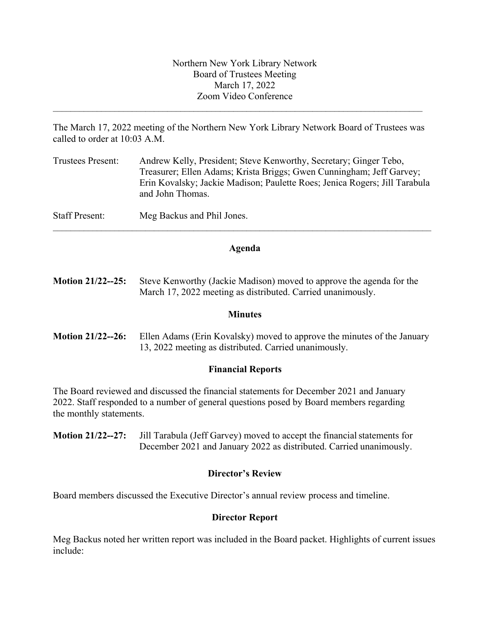The March 17, 2022 meeting of the Northern New York Library Network Board of Trustees was called to order at 10:03 A.M.

\_\_\_\_\_\_\_\_\_\_\_\_\_\_\_\_\_\_\_\_\_\_\_\_\_\_\_\_\_\_\_\_\_\_\_\_\_\_\_\_\_\_\_\_\_\_\_\_\_\_\_\_\_\_\_\_\_\_\_\_\_\_\_\_\_\_\_\_\_\_\_\_\_\_\_\_\_\_\_\_\_\_\_\_

| <b>Trustees Present:</b> | Andrew Kelly, President; Steve Kenworthy, Secretary; Ginger Tebo,<br>Treasurer; Ellen Adams; Krista Briggs; Gwen Cunningham; Jeff Garvey;<br>Erin Kovalsky; Jackie Madison; Paulette Roes; Jenica Rogers; Jill Tarabula<br>and John Thomas. |
|--------------------------|---------------------------------------------------------------------------------------------------------------------------------------------------------------------------------------------------------------------------------------------|
| <b>Staff Present:</b>    | Meg Backus and Phil Jones.                                                                                                                                                                                                                  |

## **Agenda**

 $\mathcal{L}_\mathcal{L} = \{ \mathcal{L}_\mathcal{L} = \{ \mathcal{L}_\mathcal{L} = \{ \mathcal{L}_\mathcal{L} = \{ \mathcal{L}_\mathcal{L} = \{ \mathcal{L}_\mathcal{L} = \{ \mathcal{L}_\mathcal{L} = \{ \mathcal{L}_\mathcal{L} = \{ \mathcal{L}_\mathcal{L} = \{ \mathcal{L}_\mathcal{L} = \{ \mathcal{L}_\mathcal{L} = \{ \mathcal{L}_\mathcal{L} = \{ \mathcal{L}_\mathcal{L} = \{ \mathcal{L}_\mathcal{L} = \{ \mathcal{L}_\mathcal{$ 

**Motion 21/22--25:** Steve Kenworthy (Jackie Madison) moved to approve the agenda for the March 17, 2022 meeting as distributed. Carried unanimously.

#### **Minutes**

**Motion 21/22--26:** Ellen Adams (Erin Kovalsky) moved to approve the minutes of the January 13, 2022 meeting as distributed. Carried unanimously.

## **Financial Reports**

The Board reviewed and discussed the financial statements for December 2021 and January 2022. Staff responded to a number of general questions posed by Board members regarding the monthly statements.

**Motion 21/22--27:** Jill Tarabula (Jeff Garvey) moved to accept the financial statements for December 2021 and January 2022 as distributed. Carried unanimously.

## **Director's Review**

Board members discussed the Executive Director's annual review process and timeline.

## **Director Report**

Meg Backus noted her written report was included in the Board packet. Highlights of current issues include: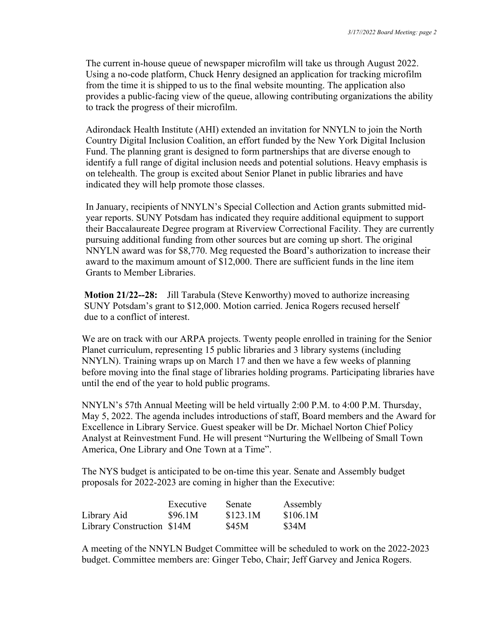The current in-house queue of newspaper microfilm will take us through August 2022. Using a no-code platform, Chuck Henry designed an application for tracking microfilm from the time it is shipped to us to the final website mounting. The application also provides a public-facing view of the queue, allowing contributing organizations the ability to track the progress of their microfilm.

Adirondack Health Institute (AHI) extended an invitation for NNYLN to join the North Country Digital Inclusion Coalition, an effort funded by the New York Digital Inclusion Fund. The planning grant is designed to form partnerships that are diverse enough to identify a full range of digital inclusion needs and potential solutions. Heavy emphasis is on telehealth. The group is excited about Senior Planet in public libraries and have indicated they will help promote those classes.

In January, recipients of NNYLN's Special Collection and Action grants submitted midyear reports. SUNY Potsdam has indicated they require additional equipment to support their Baccalaureate Degree program at Riverview Correctional Facility. They are currently pursuing additional funding from other sources but are coming up short. The original NNYLN award was for \$8,770. Meg requested the Board's authorization to increase their award to the maximum amount of \$12,000. There are sufficient funds in the line item Grants to Member Libraries.

 **Motion 21/22--28:** Jill Tarabula (Steve Kenworthy) moved to authorize increasing SUNY Potsdam's grant to \$12,000. Motion carried. Jenica Rogers recused herself due to a conflict of interest.

We are on track with our ARPA projects. Twenty people enrolled in training for the Senior Planet curriculum, representing 15 public libraries and 3 library systems (including NNYLN). Training wraps up on March 17 and then we have a few weeks of planning before moving into the final stage of libraries holding programs. Participating libraries have until the end of the year to hold public programs.

NNYLN's 57th Annual Meeting will be held virtually 2:00 P.M. to 4:00 P.M. Thursday, May 5, 2022. The agenda includes introductions of staff, Board members and the Award for Excellence in Library Service. Guest speaker will be Dr. Michael Norton Chief Policy Analyst at Reinvestment Fund. He will present "Nurturing the Wellbeing of Small Town America, One Library and One Town at a Time".

The NYS budget is anticipated to be on-time this year. Senate and Assembly budget proposals for 2022-2023 are coming in higher than the Executive:

|                            | Executive | Senate   | Assembly |
|----------------------------|-----------|----------|----------|
| Library Aid                | \$96.1M   | \$123.1M | \$106.1M |
| Library Construction \$14M |           | \$45M    | \$34M    |

A meeting of the NNYLN Budget Committee will be scheduled to work on the 2022-2023 budget. Committee members are: Ginger Tebo, Chair; Jeff Garvey and Jenica Rogers.